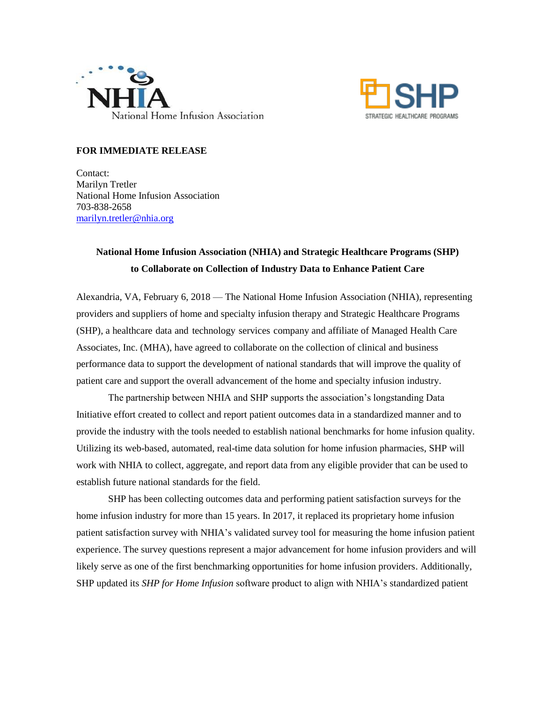



## **FOR IMMEDIATE RELEASE**

Contact: Marilyn Tretler National Home Infusion Association 703-838-2658 [marilyn.tretler@nhia.org](mailto:marilyn.tretler@nhia.org)

## **National Home Infusion Association (NHIA) and Strategic Healthcare Programs (SHP) to Collaborate on Collection of Industry Data to Enhance Patient Care**

Alexandria, VA, February 6, 2018 — The National Home Infusion Association (NHIA), representing providers and suppliers of home and specialty infusion therapy and Strategic Healthcare Programs (SHP), a healthcare data and technology services company and affiliate of Managed Health Care Associates, Inc. (MHA), have agreed to collaborate on the collection of clinical and business performance data to support the development of national standards that will improve the quality of patient care and support the overall advancement of the home and specialty infusion industry.

The partnership between NHIA and SHP supports the association's longstanding Data Initiative effort created to collect and report patient outcomes data in a standardized manner and to provide the industry with the tools needed to establish national benchmarks for home infusion quality. Utilizing its web-based, automated, real-time data solution for home infusion pharmacies, SHP will work with NHIA to collect, aggregate, and report data from any eligible provider that can be used to establish future national standards for the field.

SHP has been collecting outcomes data and performing patient satisfaction surveys for the home infusion industry for more than 15 years. In 2017, it replaced its proprietary home infusion patient satisfaction survey with NHIA's validated survey tool for measuring the home infusion patient experience. The survey questions represent a major advancement for home infusion providers and will likely serve as one of the first benchmarking opportunities for home infusion providers. Additionally, SHP updated its *SHP for Home Infusion* software product to align with NHIA's standardized patient